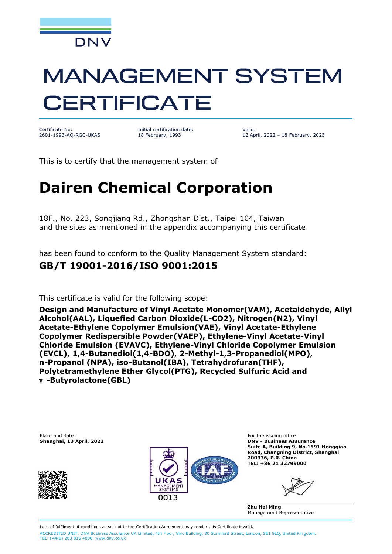

# **MANAGEMENT SYSTEM CERTIFICATE**

Certificate No: 2601-1993-AQ-RGC-UKAS

Initial certification date: 18 February, 1993

Valid: 12 April, 2022 – 18 February, 2023

This is to certify that the management system of

## **Dairen Chemical Corporation**

18F., No. 223, Songjiang Rd., Zhongshan Dist., Taipei 104, Taiwan and the sites as mentioned in the appendix accompanying this certificate

has been found to conform to the Quality Management System standard:

#### **GB/T 19001-2016/ISO 9001:2015**

This certificate is valid for the following scope:

**Design and Manufacture of Vinyl Acetate Monomer(VAM), Acetaldehyde, Allyl Alcohol(AAL), Liquefied Carbon Dioxide(L-CO2), Nitrogen(N2), Vinyl Acetate-Ethylene Copolymer Emulsion(VAE), Vinyl Acetate-Ethylene Copolymer Redispersible Powder(VAEP), Ethylene-Vinyl Acetate-Vinyl Chloride Emulsion (EVAVC), Ethylene-Vinyl Chloride Copolymer Emulsion (EVCL), 1,4-Butanediol(1,4-BDO), 2-Methyl-1,3-Propanediol(MPO), n-Propanol (NPA), iso-Butanol(IBA), Tetrahydrofuran(THF), Polytetramethylene Ether Glycol(PTG), Recycled Sulfuric Acid and** ɣ **-Butyrolactone(GBL)**

Place and date: The issuing office: The issuing office: Shanghai, 13 April, 2022<br>
Phanghai, 13 April, 2022





**Shanghai, 13 April, 2022 DNV - Business Assurance Suite A, Building 9, No.1591 Hongqiao Road, Changning District, Shanghai 200336, P.R. China TEL: +86 21 32799000**

**Zhu Hai Ming** Management Representative

Lack of fulfilment of conditions as set out in the Certification Agreement may render this Certificate invalid. ACCREDITED UNIT: DNV Business Assurance UK Limited, 4th Floor, Vivo Building, 30 Stamford Street, London, SE1 9LQ, United Kingdom. TEL:+44(0) 203 816 4000. [www.dnv.co.uk](http://www.dnv.co.uk)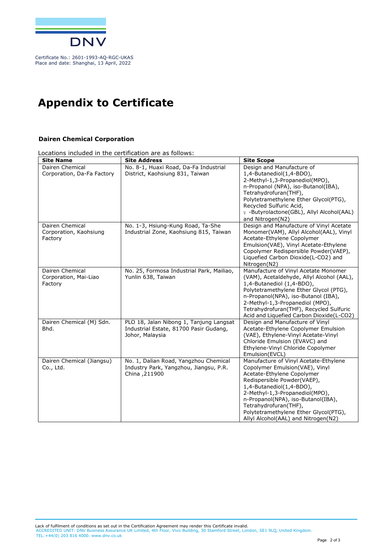

### **Appendix to Certificate**

#### **Dairen Chemical Corporation**

Locations included in the certification are as follows:

| <b>Site Name</b>                                     | <b>Site Address</b>                                                                                  | <b>Site Scope</b>                                                                                                                                                                                                                                                                                                                                 |
|------------------------------------------------------|------------------------------------------------------------------------------------------------------|---------------------------------------------------------------------------------------------------------------------------------------------------------------------------------------------------------------------------------------------------------------------------------------------------------------------------------------------------|
| Dairen Chemical<br>Corporation, Da-Fa Factory        | No. 8-1, Huaxi Road, Da-Fa Industrial<br>District, Kaohsiung 831, Taiwan                             | Design and Manufacture of<br>1,4-Butanediol(1,4-BDO),<br>2-Methyl-1,3-Propanediol(MPO),<br>n-Propanol (NPA), iso-Butanol(IBA),<br>Tetrahydrofuran(THF),<br>Polytetramethylene Ether Glycol(PTG),<br>Recycled Sulfuric Acid,<br>y -Butyrolactone(GBL), Allyl Alcohol(AAL)<br>and Nitrogen(N2)                                                      |
| Dairen Chemical<br>Corporation, Kaohsiung<br>Factory | No. 1-3, Hsiung-Kung Road, Ta-She<br>Industrial Zone, Kaohsiung 815, Taiwan                          | Design and Manufacture of Vinyl Acetate<br>Monomer(VAM), Allyl Alcohol(AAL), Vinyl<br>Acetate-Ethylene Copolymer<br>Emulsion(VAE), Vinyl Acetate-Ethylene<br>Copolymer Redispersible Powder(VAEP),<br>Liquefied Carbon Dioxide(L-CO2) and<br>Nitrogen(N2)                                                                                         |
| Dairen Chemical<br>Corporation, Mai-Liao<br>Factory  | No. 25, Formosa Industrial Park, Mailiao,<br>Yunlin 638, Taiwan                                      | Manufacture of Vinyl Acetate Monomer<br>(VAM), Acetaldehyde, Allyl Alcohol (AAL),<br>1,4-Butanediol (1,4-BDO),<br>Polytetramethylene Ether Glycol (PTG),<br>n-Propanol(NPA), iso-Butanol (IBA),<br>2-Methyl-1,3-Propanediol (MPO),<br>Tetrahydrofuran(THF), Recycled Sulfuric<br>Acid and Liquefied Carbon Dioxide(L-CO2)                         |
| Dairen Chemical (M) Sdn.<br>Bhd.                     | PLO 18, Jalan Nibong 1, Tanjung Langsat<br>Industrial Estate, 81700 Pasir Gudang,<br>Johor, Malaysia | Design and Manufacture of Vinyl<br>Acetate-Ethylene Copolymer Emulsion<br>(VAE), Ethylene-Vinyl Acetate-Vinyl<br>Chloride Emulsion (EVAVC) and<br>Ethylene-Vinyl Chloride Copolymer<br>Emulsion(EVCL)                                                                                                                                             |
| Dairen Chemical (Jiangsu)<br>Co., Ltd.               | No. 1, Dalian Road, Yangzhou Chemical<br>Industry Park, Yangzhou, Jiangsu, P.R.<br>China , 211900    | Manufacture of Vinyl Acetate-Ethylene<br>Copolymer Emulsion(VAE), Vinyl<br>Acetate-Ethylene Copolymer<br>Redispersible Powder(VAEP),<br>1,4-Butanediol(1,4-BDO),<br>2-Methyl-1,3-Propanediol(MPO),<br>n-Propanol(NPA), iso-Butanol(IBA),<br>Tetrahydrofuran(THF),<br>Polytetramethylene Ether Glycol(PTG),<br>Allyl Alcohol(AAL) and Nitrogen(N2) |

Lack of fulfilment of conditions as set out in the Certification Agreement may render this Certificate invalid. ACCREDITED UNIT: DNV Business Assurance UK Limited, 4th Floor, Vivo Building, 30 Stamford Street, London, SE1 9LQ, United Kingdom. TEL:+44(0) 203 816 4000. [www.dnv.co.uk](http://www.dnv.co.uk)